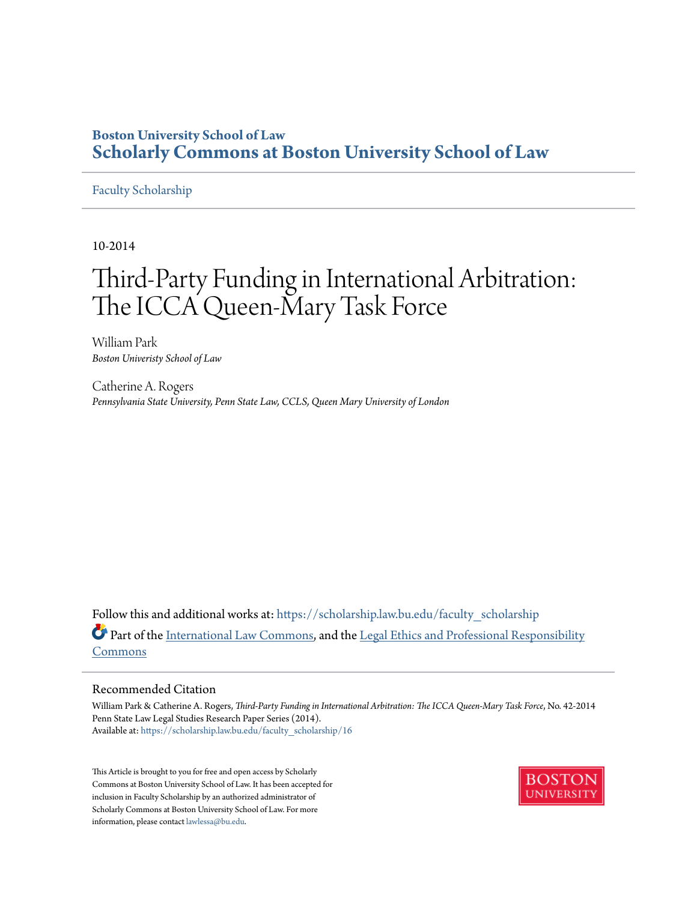# **Boston University School of Law [Scholarly Commons at Boston University School of Law](https://scholarship.law.bu.edu?utm_source=scholarship.law.bu.edu%2Ffaculty_scholarship%2F16&utm_medium=PDF&utm_campaign=PDFCoverPages)**

#### [Faculty Scholarship](https://scholarship.law.bu.edu/faculty_scholarship?utm_source=scholarship.law.bu.edu%2Ffaculty_scholarship%2F16&utm_medium=PDF&utm_campaign=PDFCoverPages)

10-2014

# Third-Party Funding in International Arbitration: The ICCA Queen-Mary Task Force

William Park *Boston Univeristy School of Law*

Catherine A. Rogers *Pennsylvania State University, Penn State Law, CCLS, Queen Mary University of London*

Follow this and additional works at: [https://scholarship.law.bu.edu/faculty\\_scholarship](https://scholarship.law.bu.edu/faculty_scholarship?utm_source=scholarship.law.bu.edu%2Ffaculty_scholarship%2F16&utm_medium=PDF&utm_campaign=PDFCoverPages) Part of the [International Law Commons,](http://network.bepress.com/hgg/discipline/609?utm_source=scholarship.law.bu.edu%2Ffaculty_scholarship%2F16&utm_medium=PDF&utm_campaign=PDFCoverPages) and the [Legal Ethics and Professional Responsibility](http://network.bepress.com/hgg/discipline/895?utm_source=scholarship.law.bu.edu%2Ffaculty_scholarship%2F16&utm_medium=PDF&utm_campaign=PDFCoverPages) [Commons](http://network.bepress.com/hgg/discipline/895?utm_source=scholarship.law.bu.edu%2Ffaculty_scholarship%2F16&utm_medium=PDF&utm_campaign=PDFCoverPages)

#### Recommended Citation

William Park & Catherine A. Rogers, *Third-Party Funding in International Arbitration: The ICCA Queen-Mary Task Force*, No. 42-2014 Penn State Law Legal Studies Research Paper Series (2014). Available at: [https://scholarship.law.bu.edu/faculty\\_scholarship/16](https://scholarship.law.bu.edu/faculty_scholarship/16?utm_source=scholarship.law.bu.edu%2Ffaculty_scholarship%2F16&utm_medium=PDF&utm_campaign=PDFCoverPages)

This Article is brought to you for free and open access by Scholarly Commons at Boston University School of Law. It has been accepted for inclusion in Faculty Scholarship by an authorized administrator of Scholarly Commons at Boston University School of Law. For more information, please contact [lawlessa@bu.edu.](mailto:lawlessa@bu.edu)

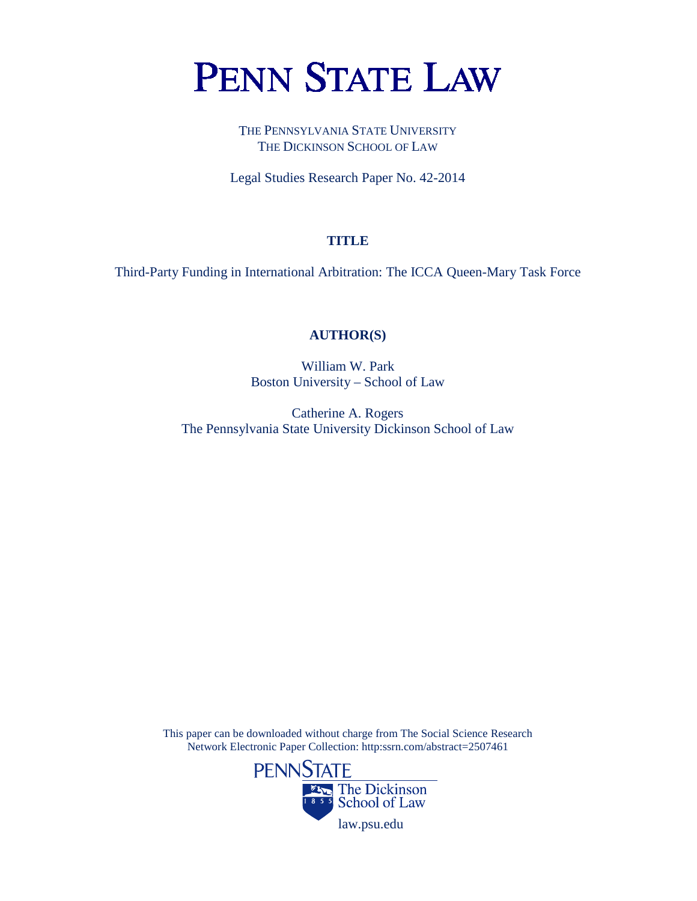# **PENN STATE LAW**

THE PENNSYLVANIA STATE UNIVERSITY THE DICKINSON SCHOOL OF LAW

Legal Studies Research Paper No. 42-2014

# **TITLE**

Third-Party Funding in International Arbitration: The ICCA Queen-Mary Task Force

# **AUTHOR(S)**

William W. Park Boston University – School of Law

Catherine A. Rogers The Pennsylvania State University Dickinson School of Law

This paper can be downloaded without charge from The Social Science Research Network Electronic Paper Collection: http:ssrn.com/abstract=2507461

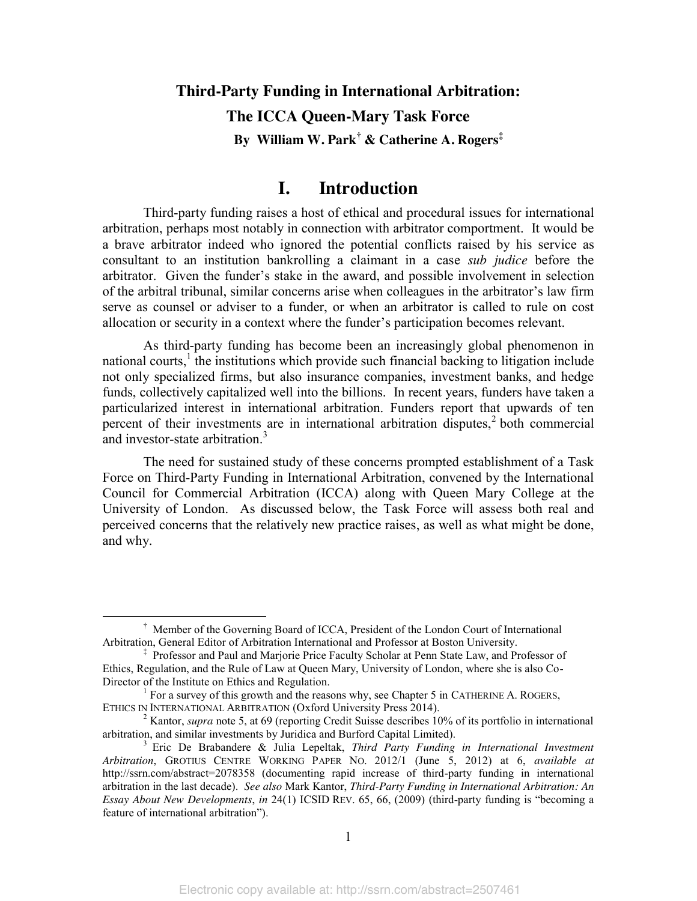# **Third-Party Funding in International Arbitration: The ICCA Queen-Mary Task Force By William W. Park† & Catherine A. Rogers‡**

# **I. Introduction**

Third-party funding raises a host of ethical and procedural issues for international arbitration, perhaps most notably in connection with arbitrator comportment. It would be a brave arbitrator indeed who ignored the potential conflicts raised by his service as consultant to an institution bankrolling a claimant in a case *sub judice* before the arbitrator. Given the funder's stake in the award, and possible involvement in selection of the arbitral tribunal, similar concerns arise when colleagues in the arbitrator's law firm serve as counsel or adviser to a funder, or when an arbitrator is called to rule on cost allocation or security in a context where the funder's participation becomes relevant.

As third-party funding has become been an increasingly global phenomenon in national courts,<sup>1</sup> the institutions which provide such financial backing to litigation include not only specialized firms, but also insurance companies, investment banks, and hedge funds, collectively capitalized well into the billions. In recent years, funders have taken a particularized interest in international arbitration. Funders report that upwards of ten percent of their investments are in international arbitration disputes,<sup>2</sup> both commercial and investor-state arbitration.<sup>3</sup>

The need for sustained study of these concerns prompted establishment of a Task Force on Third-Party Funding in International Arbitration, convened by the International Council for Commercial Arbitration (ICCA) along with Queen Mary College at the University of London. As discussed below, the Task Force will assess both real and perceived concerns that the relatively new practice raises, as well as what might be done, and why.

 $\overline{\phantom{a}}$  $\dagger$  Member of the Governing Board of ICCA, President of the London Court of International Arbitration, General Editor of Arbitration International and Professor at Boston University.

<sup>‡</sup> Professor and Paul and Marjorie Price Faculty Scholar at Penn State Law, and Professor of Ethics, Regulation, and the Rule of Law at Queen Mary, University of London, where she is also Co-

Director of the Institute on Ethics and Regulation.<br><sup>1</sup> For a survey of this growth and the reasons why, see Chapter 5 in CATHERINE A. ROGERS,<br>ETHICS IN INTERNATIONAL ARBITRATION (Oxford University Press 2014).

<sup>&</sup>lt;sup>2</sup> Kantor, *supra* note 5, at 69 (reporting Credit Suisse describes 10% of its portfolio in international arbitration, and similar investments by Juridica and Burford Capital Limited).

<sup>&</sup>lt;sup>3</sup> Eric De Brabandere & Julia Lepeltak, *Third Party Funding in International Investment Arbitration*, GROTIUS CENTRE WORKING PAPER NO. 2012/1 (June 5, 2012) at 6, *available at* http://ssrn.com/abstract=2078358 (documenting rapid increase of third-party funding in international arbitration in the last decade). *See also* Mark Kantor, *Third-Party Funding in International Arbitration: An Essay About New Developments*, *in* 24(1) ICSID REV. 65, 66, (2009) (third-party funding is "becoming a feature of international arbitration").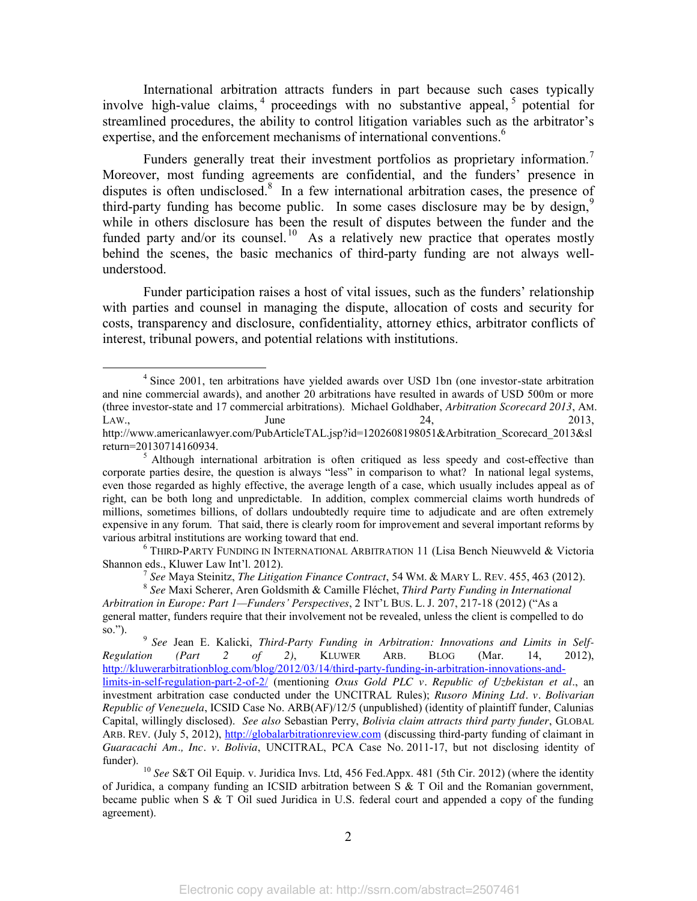International arbitration attracts funders in part because such cases typically involve high-value claims,  $\frac{4}{3}$  proceedings with no substantive appeal,  $\frac{5}{3}$  potential for streamlined procedures, the ability to control litigation variables such as the arbitrator's expertise, and the enforcement mechanisms of international conventions. 6

Funders generally treat their investment portfolios as proprietary information.<sup>7</sup> Moreover, most funding agreements are confidential, and the funders' presence in disputes is often undisclosed.<sup>8</sup> In a few international arbitration cases, the presence of third-party funding has become public. In some cases disclosure may be by design,<sup>9</sup> while in others disclosure has been the result of disputes between the funder and the funded party and/or its counsel.<sup>10</sup> As a relatively new practice that operates mostly behind the scenes, the basic mechanics of third-party funding are not always wellunderstood.

Funder participation raises a host of vital issues, such as the funders' relationship with parties and counsel in managing the dispute, allocation of costs and security for costs, transparency and disclosure, confidentiality, attorney ethics, arbitrator conflicts of interest, tribunal powers, and potential relations with institutions.

so."). <sup>9</sup> *See* Jean E. Kalicki, *Third-Party Funding in Arbitration: Innovations and Limits in Self-Regulation (Part 2 of 2)*, KLUWER ARB. BLOG (Mar. 14, 2012), [http://kluwerarbitrationblog.com/blog/2012/03/14/third-party-funding-in-arbitration-innovations-and](http://kluwerarbitrationblog.com/blog/2012/03/14/third-party-funding-in-arbitration-innovations-and-limits-in-self-regulation-part-2-of-2/)[limits-in-self-regulation-part-2-of-2/](http://kluwerarbitrationblog.com/blog/2012/03/14/third-party-funding-in-arbitration-innovations-and-limits-in-self-regulation-part-2-of-2/) (mentioning *Oxus Gold PLC v. Republic of Uzbekistan et al*., an investment arbitration case conducted under the UNCITRAL Rules); *Rusoro Mining Ltd. v. Bolivarian Republic of Venezuela*, ICSID Case No. ARB(AF)/12/5 (unpublished) (identity of plaintiff funder, Calunias Capital, willingly disclosed). *See also* Sebastian Perry, *Bolivia claim attracts third party funder*, GLOBAL ARB. REV. (July 5, 2012), [http://globalarbitrationreview.com](http://globalarbitrationreview.com/) (discussing third-party funding of claimant in *Guaracachi Am., Inc. v. Bolivia*, UNCITRAL, PCA Case No. 2011-17, but not disclosing identity of funder).

<sup>10</sup> See S&T Oil Equip. v. Juridica Invs. Ltd, 456 Fed.Appx. 481 (5th Cir. 2012) (where the identity of Juridica, a company funding an ICSID arbitration between S & T Oil and the Romanian government, became public when S & T Oil sued Juridica in U.S. federal court and appended a copy of the funding agreement).

<sup>&</sup>lt;sup>4</sup> Since 2001, ten arbitrations have yielded awards over USD 1bn (one investor-state arbitration and nine commercial awards), and another 20 arbitrations have resulted in awards of USD 500m or more (three investor-state and 17 commercial arbitrations). Michael Goldhaber, *Arbitration Scorecard 2013*, AM. LAW.,  $\qquad \qquad \text{June} \qquad \qquad 24, \qquad \qquad 2013,$ http://www.americanlawyer.com/PubArticleTAL.jsp?id=1202608198051&Arbitration\_Scorecard\_2013&sl

return=20130714160934.<br><sup>5</sup> Although international arbitration is often critiqued as less speedy and cost-effective than corporate parties desire, the question is always "less" in comparison to what? In national legal systems, even those regarded as highly effective, the average length of a case, which usually includes appeal as of right, can be both long and unpredictable. In addition, complex commercial claims worth hundreds of millions, sometimes billions, of dollars undoubtedly require time to adjudicate and are often extremely expensive in any forum. That said, there is clearly room for improvement and several important reforms by various arbitral institutions are working toward that end.<br><sup>6</sup> THIRD-PARTY FUNDING IN INTERNATIONAL ARBITRATION 11 (Lisa Bench Nieuwveld & Victoria

Shannon eds., Kluwer Law Int'l. 2012).<br><sup>7</sup> See Maya Steinitz, *The Litigation Finance Contract*, 54 WM. & MARY L. REV. 455, 463 (2012).<br><sup>8</sup> See Maxi Scherer, Aren Goldsmith & Camille Fléchet, *Third Party Funding in Intern* 

*Arbitration in Europe: Part 1—Funders' Perspectives*, 2 INT'L BUS. L. J. 207, 217-18 (2012) ("As a general matter, funders require that their involvement not be revealed, unless the client is compelled to do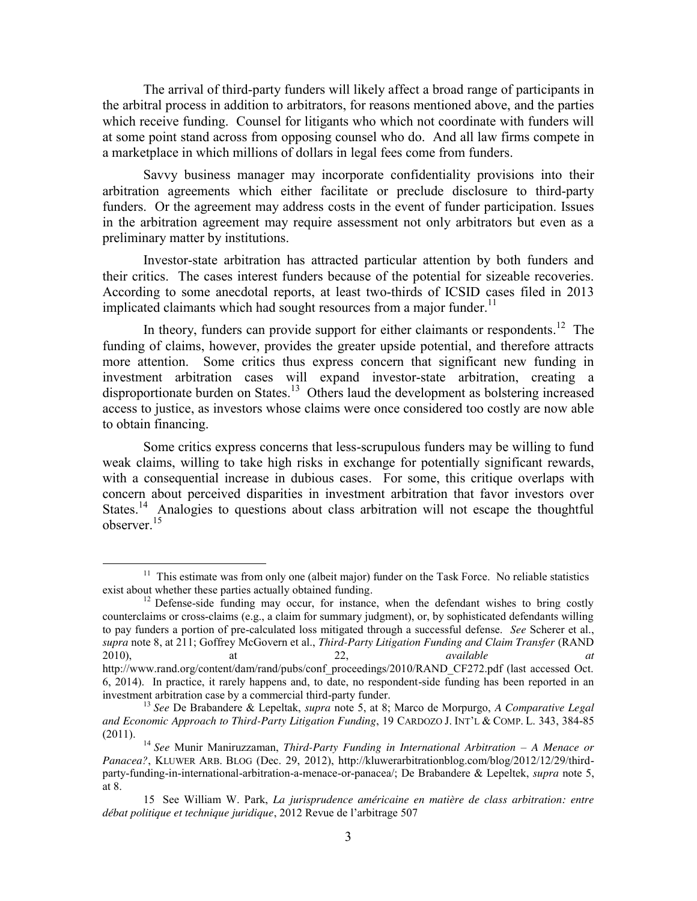The arrival of third-party funders will likely affect a broad range of participants in the arbitral process in addition to arbitrators, for reasons mentioned above, and the parties which receive funding. Counsel for litigants who which not coordinate with funders will at some point stand across from opposing counsel who do. And all law firms compete in a marketplace in which millions of dollars in legal fees come from funders.

Savvy business manager may incorporate confidentiality provisions into their arbitration agreements which either facilitate or preclude disclosure to third-party funders. Or the agreement may address costs in the event of funder participation. Issues in the arbitration agreement may require assessment not only arbitrators but even as a preliminary matter by institutions.

Investor-state arbitration has attracted particular attention by both funders and their critics. The cases interest funders because of the potential for sizeable recoveries. According to some anecdotal reports, at least two-thirds of ICSID cases filed in 2013 implicated claimants which had sought resources from a major funder.<sup>11</sup>

In theory, funders can provide support for either claimants or respondents.<sup>12</sup> The funding of claims, however, provides the greater upside potential, and therefore attracts more attention. Some critics thus express concern that significant new funding in investment arbitration cases will expand investor-state arbitration, creating a disproportionate burden on States.<sup>13</sup> Others laud the development as bolstering increased access to justice, as investors whose claims were once considered too costly are now able to obtain financing.

Some critics express concerns that less-scrupulous funders may be willing to fund weak claims, willing to take high risks in exchange for potentially significant rewards, with a consequential increase in dubious cases. For some, this critique overlaps with concern about perceived disparities in investment arbitration that favor investors over States.<sup>14</sup> Analogies to questions about class arbitration will not escape the thoughtful observer.<sup>15</sup>

<sup>&</sup>lt;sup>11</sup> This estimate was from only one (albeit major) funder on the Task Force. No reliable statistics exist about whether these parties actually obtained funding.

<sup>&</sup>lt;sup>12</sup> Defense-side funding may occur, for instance, when the defendant wishes to bring costly counterclaims or cross-claims (e.g., a claim for summary judgment), or, by sophisticated defendants willing to pay funders a portion of pre-calculated loss mitigated through a successful defense. *See* Scherer et al., *supra* note 8, at 211; Goffrey McGovern et al., *Third-Party Litigation Funding and Claim Transfer* (RAND 2010), at 22, *available at* http://www.rand.org/content/dam/rand/pubs/conf\_proceedings/2010/RAND\_CF272.pdf (last accessed Oct. 6, 2014). In practice, it rarely happens and, to date, no respondent-side funding has been reported in an

<sup>&</sup>lt;sup>13</sup> See De Brabandere & Lepeltak, *supra* note 5, at 8; Marco de Morpurgo, *A Comparative Legal and Economic Approach to Third-Party Litigation Funding*, 19 CARDOZO J. INT'L & COMP. L. 343, 384-85

<sup>(2011).</sup> <sup>14</sup> *See* Munir Maniruzzaman, *Third-Party Funding in International Arbitration – A Menace or Panacea?*, KLUWER ARB. BLOG (Dec. 29, 2012), http://kluwerarbitrationblog.com/blog/2012/12/29/thirdparty-funding-in-international-arbitration-a-menace-or-panacea/; De Brabandere & Lepeltek, *supra* note 5, at 8.

<sup>15</sup> See William W. Park, *La jurisprudence américaine en matière de class arbitration: entre débat politique et technique juridique*, 2012 Revue de l'arbitrage 507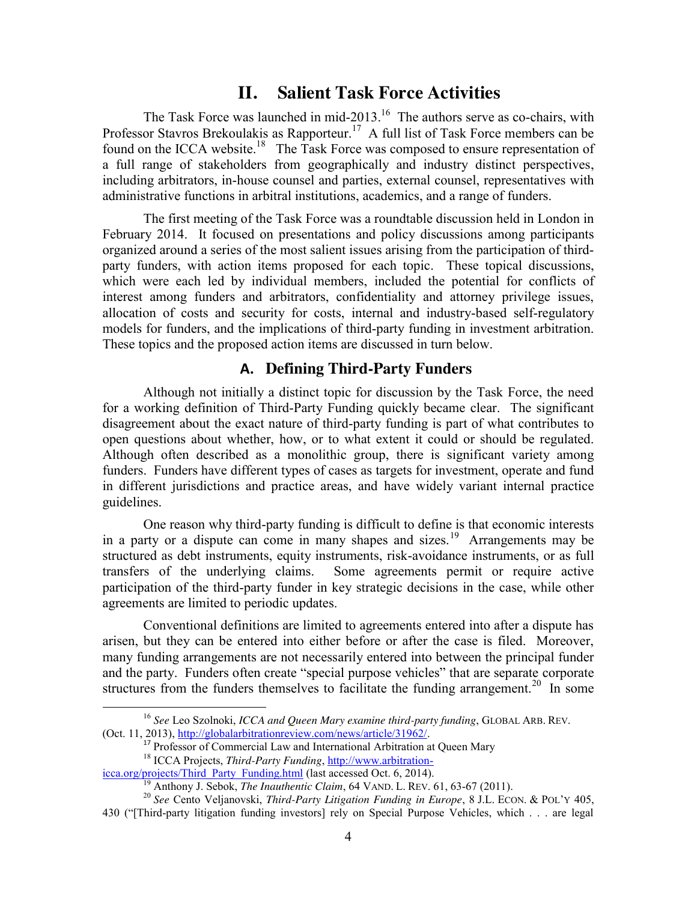# **II. Salient Task Force Activities**

The Task Force was launched in mid-2013.<sup>16</sup> The authors serve as co-chairs, with Professor Stavros Brekoulakis as Rapporteur.<sup>17</sup> A full list of Task Force members can be found on the ICCA website.<sup>18</sup> The Task Force was composed to ensure representation of a full range of stakeholders from geographically and industry distinct perspectives, including arbitrators, in-house counsel and parties, external counsel, representatives with administrative functions in arbitral institutions, academics, and a range of funders.

The first meeting of the Task Force was a roundtable discussion held in London in February 2014. It focused on presentations and policy discussions among participants organized around a series of the most salient issues arising from the participation of thirdparty funders, with action items proposed for each topic. These topical discussions, which were each led by individual members, included the potential for conflicts of interest among funders and arbitrators, confidentiality and attorney privilege issues, allocation of costs and security for costs, internal and industry-based self-regulatory models for funders, and the implications of third-party funding in investment arbitration. These topics and the proposed action items are discussed in turn below.

## **A. Defining Third-Party Funders**

Although not initially a distinct topic for discussion by the Task Force, the need for a working definition of Third-Party Funding quickly became clear. The significant disagreement about the exact nature of third-party funding is part of what contributes to open questions about whether, how, or to what extent it could or should be regulated. Although often described as a monolithic group, there is significant variety among funders. Funders have different types of cases as targets for investment, operate and fund in different jurisdictions and practice areas, and have widely variant internal practice guidelines.

One reason why third-party funding is difficult to define is that economic interests in a party or a dispute can come in many shapes and sizes.<sup>19</sup> Arrangements may be structured as debt instruments, equity instruments, risk-avoidance instruments, or as full transfers of the underlying claims. Some agreements permit or require active participation of the third-party funder in key strategic decisions in the case, while other agreements are limited to periodic updates.

Conventional definitions are limited to agreements entered into after a dispute has arisen, but they can be entered into either before or after the case is filed. Moreover, many funding arrangements are not necessarily entered into between the principal funder and the party. Funders often create "special purpose vehicles" that are separate corporate structures from the funders themselves to facilitate the funding arrangement.<sup>20</sup> In some

 <sup>16</sup> *See* Leo Szolnoki, *ICCA and Queen Mary examine third-party funding*, GLOBAL ARB. REV. (Oct. 11, 2013), [http://globalarbitrationreview.com/news/article/31962/.](http://globalarbitrationreview.com/news/article/31962/)

<sup>&</sup>lt;sup>17</sup> Professor of Commercial Law and International Arbitration at Queen Mary

<sup>&</sup>lt;sup>18</sup> ICCA Projects, *Third-Party Funding*, *http://www.arbitration-*<br>icca.org/projects/Third\_Party\_Funding.html (last accessed Oct. 6, 2014).

<sup>&</sup>lt;sup>19</sup> Anthony J. Sebok, *The Inauthentic Claim*, 64 VAND. L. REV. 61, 63-67 (2011).<br><sup>20</sup> See Cento Veljanovski, *Third-Party Litigation Funding in Europe*, 8 J.L. ECON. & POL'Y 405,

<sup>430 (&</sup>quot;[Third-party litigation funding investors] rely on Special Purpose Vehicles, which . . . are legal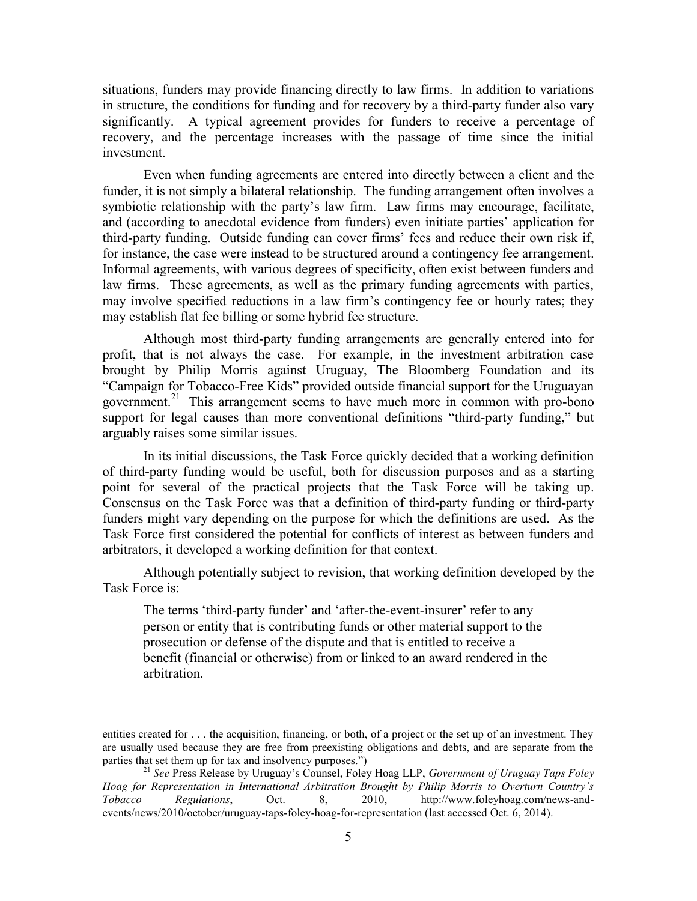situations, funders may provide financing directly to law firms. In addition to variations in structure, the conditions for funding and for recovery by a third-party funder also vary significantly. A typical agreement provides for funders to receive a percentage of recovery, and the percentage increases with the passage of time since the initial investment.

Even when funding agreements are entered into directly between a client and the funder, it is not simply a bilateral relationship. The funding arrangement often involves a symbiotic relationship with the party's law firm. Law firms may encourage, facilitate, and (according to anecdotal evidence from funders) even initiate parties' application for third-party funding. Outside funding can cover firms' fees and reduce their own risk if, for instance, the case were instead to be structured around a contingency fee arrangement. Informal agreements, with various degrees of specificity, often exist between funders and law firms. These agreements, as well as the primary funding agreements with parties, may involve specified reductions in a law firm's contingency fee or hourly rates; they may establish flat fee billing or some hybrid fee structure.

Although most third-party funding arrangements are generally entered into for profit, that is not always the case. For example, in the investment arbitration case brought by Philip Morris against Uruguay, The Bloomberg Foundation and its "Campaign for Tobacco-Free Kids" provided outside financial support for the Uruguayan government.<sup>21</sup> This arrangement seems to have much more in common with pro-bono support for legal causes than more conventional definitions "third-party funding," but arguably raises some similar issues.

In its initial discussions, the Task Force quickly decided that a working definition of third-party funding would be useful, both for discussion purposes and as a starting point for several of the practical projects that the Task Force will be taking up. Consensus on the Task Force was that a definition of third-party funding or third-party funders might vary depending on the purpose for which the definitions are used. As the Task Force first considered the potential for conflicts of interest as between funders and arbitrators, it developed a working definition for that context.

Although potentially subject to revision, that working definition developed by the Task Force is:

The terms 'third-party funder' and 'after-the-event-insurer' refer to any person or entity that is contributing funds or other material support to the prosecution or defense of the dispute and that is entitled to receive a benefit (financial or otherwise) from or linked to an award rendered in the arbitration.

 $\overline{a}$ 

entities created for . . . the acquisition, financing, or both, of a project or the set up of an investment. They are usually used because they are free from preexisting obligations and debts, and are separate from the parties that set them up for tax and insolvency purposes.")<br><sup>21</sup> *See* Press Release by Uruguay's Counsel, Foley Hoag LLP, *Government of Uruguay Taps Foley* 

*Hoag for Representation in International Arbitration Brought by Philip Morris to Overturn Country's Tobacco Regulations*, Oct. 8, 2010, http://www.foleyhoag.com/news-andevents/news/2010/october/uruguay-taps-foley-hoag-for-representation (last accessed Oct. 6, 2014).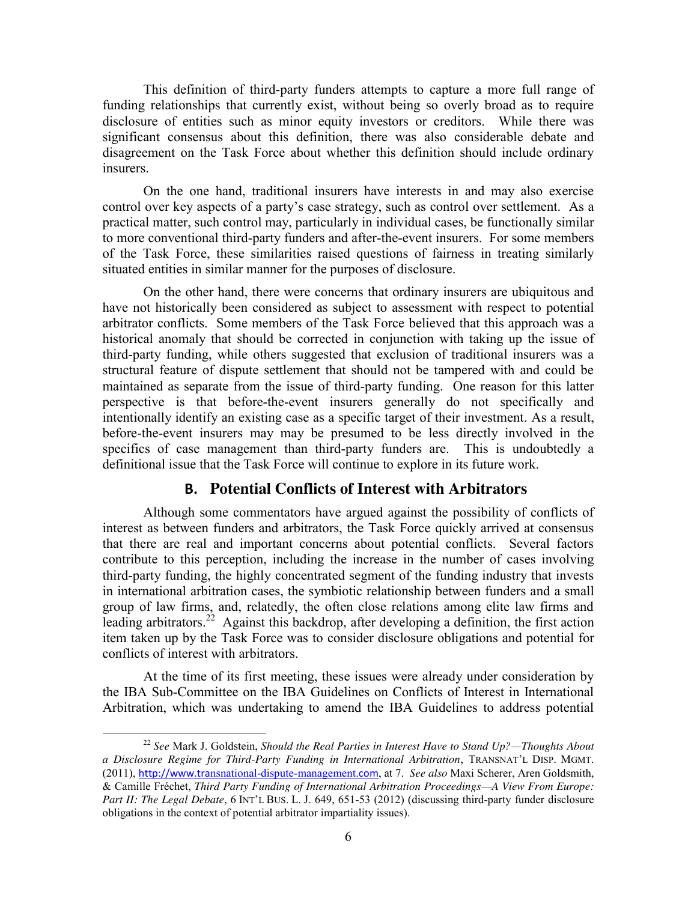This definition of third-party funders attempts to capture a more full range of funding relationships that currently exist, without being so overly broad as to require disclosure of entities such as minor equity investors or creditors. While there was significant consensus about this definition, there was also considerable debate and disagreement on the Task Force about whether this definition should include ordinary insurers.

On the one hand, traditional insurers have interests in and may also exercise control over key aspects of a party's case strategy, such as control over settlement. As a practical matter, such control may, particularly in individual cases, be functionally similar to more conventional third-party funders and after-the-event insurers. For some members of the Task Force, these similarities raised questions of fairness in treating similarly situated entities in similar manner for the purposes of disclosure.

On the other hand, there were concerns that ordinary insurers are ubiquitous and have not historically been considered as subject to assessment with respect to potential arbitrator conflicts. Some members of the Task Force believed that this approach was a historical anomaly that should be corrected in conjunction with taking up the issue of third-party funding, while others suggested that exclusion of traditional insurers was a structural feature of dispute settlement that should not be tampered with and could be maintained as separate from the issue of third-party funding. One reason for this latter perspective is that before-the-event insurers generally do not specifically and intentionally identify an existing case as a specific target of their investment. As a result, before-the-event insurers may may be presumed to be less directly involved in the specifics of case management than third-party funders are. This is undoubtedly a definitional issue that the Task Force will continue to explore in its future work.

# **B. Potential Conflicts of Interest with Arbitrators**

Although some commentators have argued against the possibility of conflicts of interest as between funders and arbitrators, the Task Force quickly arrived at consensus that there are real and important concerns about potential conflicts. Several factors contribute to this perception, including the increase in the number of cases involving third-party funding, the highly concentrated segment of the funding industry that invests in international arbitration cases, the symbiotic relationship between funders and a small group of law firms, and, relatedly, the often close relations among elite law firms and leading arbitrators.<sup>22</sup> Against this backdrop, after developing a definition, the first action item taken up by the Task Force was to consider disclosure obligations and potential for conflicts of interest with arbitrators.

At the time of its first meeting, these issues were already under consideration by the IBA Sub-Committee on the IBA Guidelines on Conflicts of Interest in International Arbitration, which was undertaking to amend the IBA Guidelines to address potential

 <sup>22</sup> *See* Mark J. Goldstein, *Should the Real Parties in Interest Have to Stand Up?—Thoughts About a Disclosure Regime for Third-Party Funding in International Arbitration*, TRANSNAT'L DISP. MGMT. (2011), http://www.tra[nsnational-dispute-management.](http://www.transnational-dispute-management.com/)com, at 7. *See also* Maxi Scherer, Aren Goldsmith, & Camille Fréchet, *Third Party Funding of International Arbitration Proceedings—A View From Europe: Part II: The Legal Debate*, 6 INT'L BUS. L. J. 649, 651-53 (2012) (discussing third-party funder disclosure obligations in the context of potential arbitrator impartiality issues).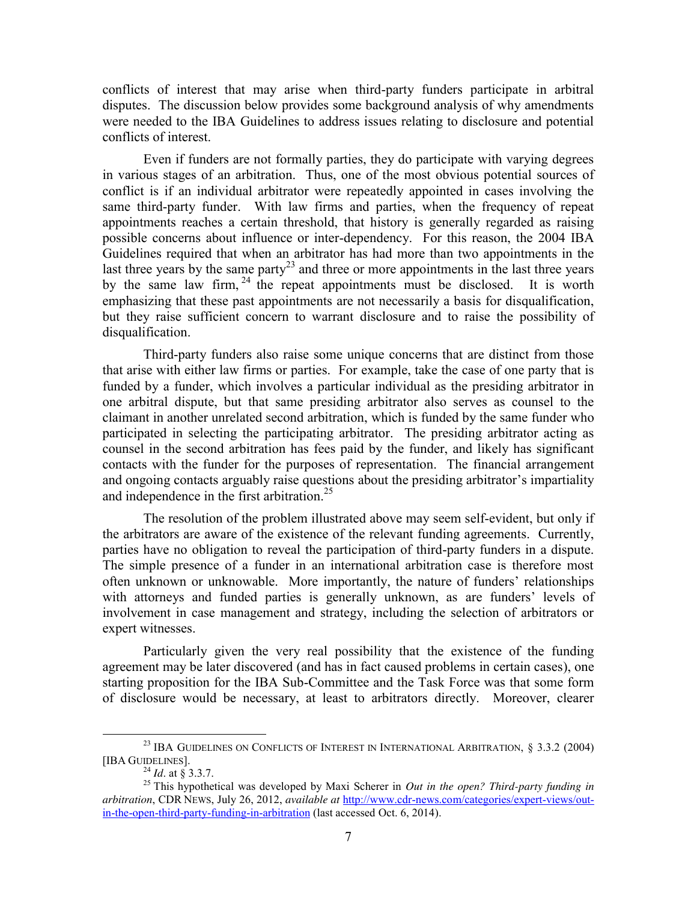conflicts of interest that may arise when third-party funders participate in arbitral disputes. The discussion below provides some background analysis of why amendments were needed to the IBA Guidelines to address issues relating to disclosure and potential conflicts of interest.

Even if funders are not formally parties, they do participate with varying degrees in various stages of an arbitration. Thus, one of the most obvious potential sources of conflict is if an individual arbitrator were repeatedly appointed in cases involving the same third-party funder. With law firms and parties, when the frequency of repeat appointments reaches a certain threshold, that history is generally regarded as raising possible concerns about influence or inter-dependency. For this reason, the 2004 IBA Guidelines required that when an arbitrator has had more than two appointments in the last three years by the same party<sup>23</sup> and three or more appointments in the last three years by the same law firm,  $24$  the repeat appointments must be disclosed. It is worth emphasizing that these past appointments are not necessarily a basis for disqualification, but they raise sufficient concern to warrant disclosure and to raise the possibility of disqualification.

Third-party funders also raise some unique concerns that are distinct from those that arise with either law firms or parties. For example, take the case of one party that is funded by a funder, which involves a particular individual as the presiding arbitrator in one arbitral dispute, but that same presiding arbitrator also serves as counsel to the claimant in another unrelated second arbitration, which is funded by the same funder who participated in selecting the participating arbitrator. The presiding arbitrator acting as counsel in the second arbitration has fees paid by the funder, and likely has significant contacts with the funder for the purposes of representation. The financial arrangement and ongoing contacts arguably raise questions about the presiding arbitrator's impartiality and independence in the first arbitration. 25

The resolution of the problem illustrated above may seem self-evident, but only if the arbitrators are aware of the existence of the relevant funding agreements. Currently, parties have no obligation to reveal the participation of third-party funders in a dispute. The simple presence of a funder in an international arbitration case is therefore most often unknown or unknowable. More importantly, the nature of funders' relationships with attorneys and funded parties is generally unknown, as are funders' levels of involvement in case management and strategy, including the selection of arbitrators or expert witnesses.

Particularly given the very real possibility that the existence of the funding agreement may be later discovered (and has in fact caused problems in certain cases), one starting proposition for the IBA Sub-Committee and the Task Force was that some form of disclosure would be necessary, at least to arbitrators directly. Moreover, clearer

 $^{23}$  IBA GUIDELINES ON CONFLICTS OF INTEREST IN INTERNATIONAL ARBITRATION,  $\S$  3.3.2 (2004) [IBA GUIDELINES].

<sup>&</sup>lt;sup>24</sup> *Id.* at § 3.3.7.<br><sup>25</sup> This hypothetical was developed by Maxi Scherer in *Out in the open? Third-party funding in arbitration*, CDR NEWS, July 26, 2012, *available at* [http://www.cdr-news.com/categories/expert-views/out](http://www.cdr-news.com/categories/expert-views/out-in-the-open-third-party-funding-in-arbitration)[in-the-open-third-party-funding-in-arbitration](http://www.cdr-news.com/categories/expert-views/out-in-the-open-third-party-funding-in-arbitration) (last accessed Oct. 6, 2014).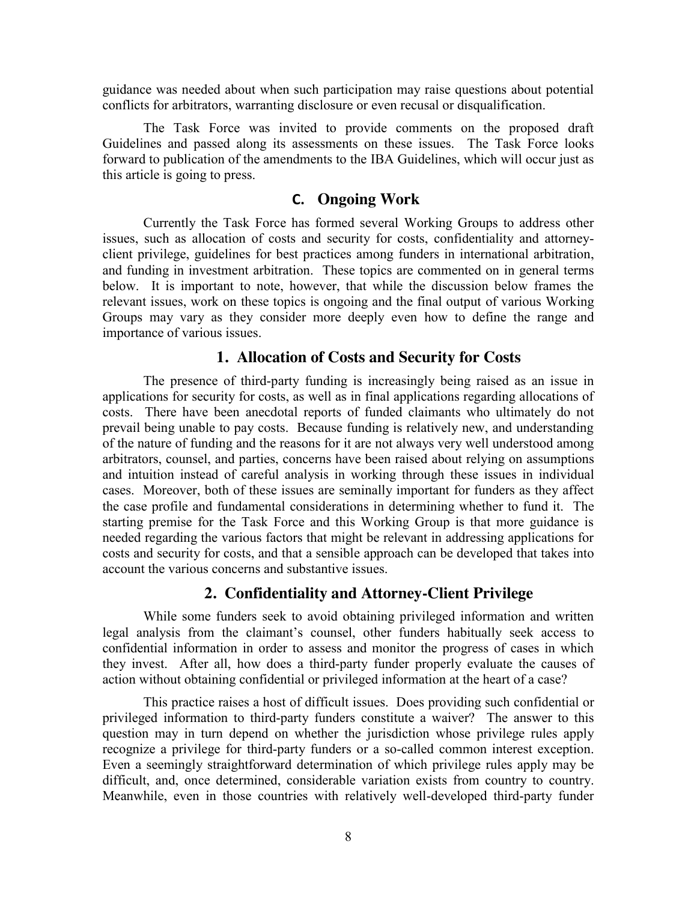guidance was needed about when such participation may raise questions about potential conflicts for arbitrators, warranting disclosure or even recusal or disqualification.

The Task Force was invited to provide comments on the proposed draft Guidelines and passed along its assessments on these issues. The Task Force looks forward to publication of the amendments to the IBA Guidelines, which will occur just as this article is going to press.

## **C. Ongoing Work**

Currently the Task Force has formed several Working Groups to address other issues, such as allocation of costs and security for costs, confidentiality and attorneyclient privilege, guidelines for best practices among funders in international arbitration, and funding in investment arbitration. These topics are commented on in general terms below. It is important to note, however, that while the discussion below frames the relevant issues, work on these topics is ongoing and the final output of various Working Groups may vary as they consider more deeply even how to define the range and importance of various issues.

#### **1. Allocation of Costs and Security for Costs**

The presence of third-party funding is increasingly being raised as an issue in applications for security for costs, as well as in final applications regarding allocations of costs. There have been anecdotal reports of funded claimants who ultimately do not prevail being unable to pay costs. Because funding is relatively new, and understanding of the nature of funding and the reasons for it are not always very well understood among arbitrators, counsel, and parties, concerns have been raised about relying on assumptions and intuition instead of careful analysis in working through these issues in individual cases. Moreover, both of these issues are seminally important for funders as they affect the case profile and fundamental considerations in determining whether to fund it. The starting premise for the Task Force and this Working Group is that more guidance is needed regarding the various factors that might be relevant in addressing applications for costs and security for costs, and that a sensible approach can be developed that takes into account the various concerns and substantive issues.

#### **2. Confidentiality and Attorney-Client Privilege**

While some funders seek to avoid obtaining privileged information and written legal analysis from the claimant's counsel, other funders habitually seek access to confidential information in order to assess and monitor the progress of cases in which they invest. After all, how does a third-party funder properly evaluate the causes of action without obtaining confidential or privileged information at the heart of a case?

This practice raises a host of difficult issues. Does providing such confidential or privileged information to third-party funders constitute a waiver? The answer to this question may in turn depend on whether the jurisdiction whose privilege rules apply recognize a privilege for third-party funders or a so-called common interest exception. Even a seemingly straightforward determination of which privilege rules apply may be difficult, and, once determined, considerable variation exists from country to country. Meanwhile, even in those countries with relatively well-developed third-party funder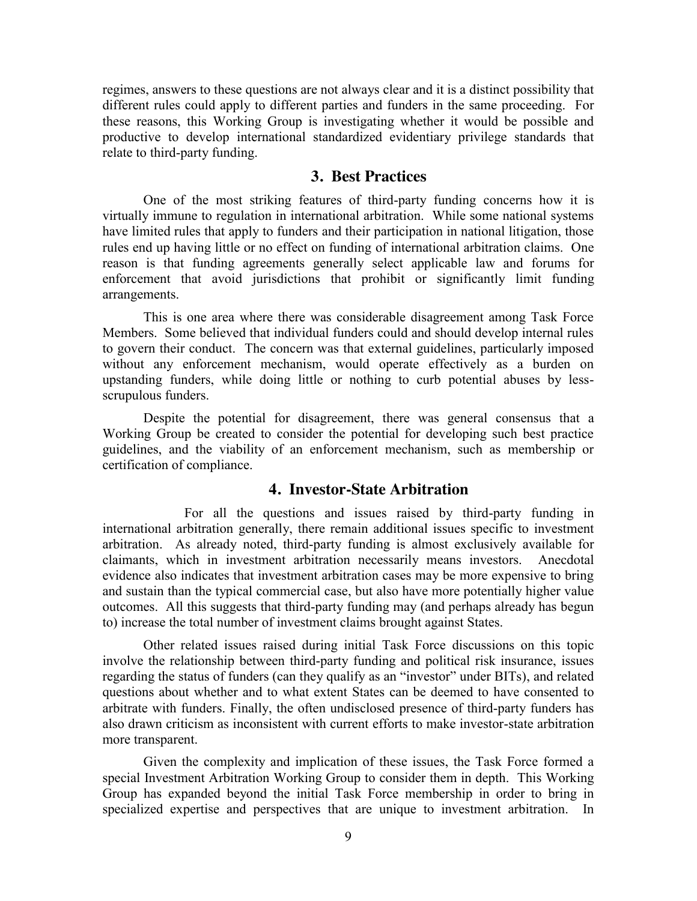regimes, answers to these questions are not always clear and it is a distinct possibility that different rules could apply to different parties and funders in the same proceeding. For these reasons, this Working Group is investigating whether it would be possible and productive to develop international standardized evidentiary privilege standards that relate to third-party funding.

## **3. Best Practices**

One of the most striking features of third-party funding concerns how it is virtually immune to regulation in international arbitration. While some national systems have limited rules that apply to funders and their participation in national litigation, those rules end up having little or no effect on funding of international arbitration claims. One reason is that funding agreements generally select applicable law and forums for enforcement that avoid jurisdictions that prohibit or significantly limit funding arrangements.

This is one area where there was considerable disagreement among Task Force Members. Some believed that individual funders could and should develop internal rules to govern their conduct. The concern was that external guidelines, particularly imposed without any enforcement mechanism, would operate effectively as a burden on upstanding funders, while doing little or nothing to curb potential abuses by lessscrupulous funders.

Despite the potential for disagreement, there was general consensus that a Working Group be created to consider the potential for developing such best practice guidelines, and the viability of an enforcement mechanism, such as membership or certification of compliance.

# **4. Investor-State Arbitration**

For all the questions and issues raised by third-party funding in international arbitration generally, there remain additional issues specific to investment arbitration. As already noted, third-party funding is almost exclusively available for claimants, which in investment arbitration necessarily means investors. Anecdotal evidence also indicates that investment arbitration cases may be more expensive to bring and sustain than the typical commercial case, but also have more potentially higher value outcomes. All this suggests that third-party funding may (and perhaps already has begun to) increase the total number of investment claims brought against States.

Other related issues raised during initial Task Force discussions on this topic involve the relationship between third-party funding and political risk insurance, issues regarding the status of funders (can they qualify as an "investor" under BITs), and related questions about whether and to what extent States can be deemed to have consented to arbitrate with funders. Finally, the often undisclosed presence of third-party funders has also drawn criticism as inconsistent with current efforts to make investor-state arbitration more transparent.

Given the complexity and implication of these issues, the Task Force formed a special Investment Arbitration Working Group to consider them in depth. This Working Group has expanded beyond the initial Task Force membership in order to bring in specialized expertise and perspectives that are unique to investment arbitration. In